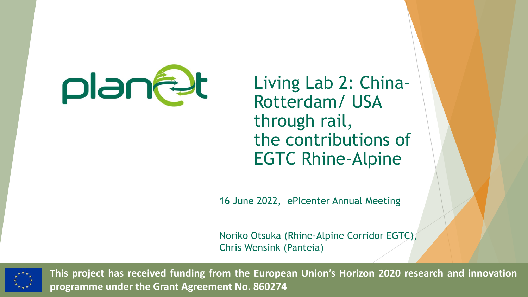

Living Lab 2: China-Rotterdam/ USA through rail, the contributions of EGTC Rhine-Alpine

16 June 2022, ePIcenter Annual Meeting

Noriko Otsuka (Rhine-Alpine Corridor EGTC), Chris Wensink (Panteia)



**This project has received funding from the European Union's Horizon 2020 research and innovation programme under the Grant Agreement No. 860274**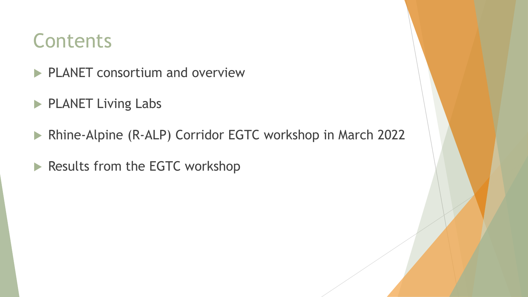#### **Contents**

- **PLANET consortium and overview**
- PLANET Living Labs
- ▶ Rhine-Alpine (R-ALP) Corridor EGTC workshop in March 2022
- Results from the EGTC workshop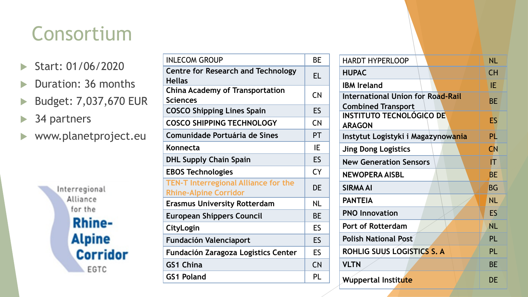# Consortium

- Start: 01/06/2020
- Duration: 36 months
- ▶ Budget: 7,037,670 EUR
- ▶ 34 partners
- www.planetproject.eu

Interregional Alliance for the **Rhine-Alpine Corridor** EGTC

| <b>INLECOM GROUP</b>                                                        | BE        |
|-----------------------------------------------------------------------------|-----------|
| <b>Centre for Research and Technology</b><br><b>Hellas</b>                  | EL        |
| <b>China Academy of Transportation</b><br><b>Sciences</b>                   | <b>CN</b> |
| <b>COSCO Shipping Lines Spain</b>                                           | ES        |
| <b>COSCO SHIPPING TECHNOLOGY</b>                                            | <b>CN</b> |
| <b>Comunidade Portuária de Sines</b>                                        | <b>PT</b> |
| Konnecta                                                                    | IE        |
| <b>DHL Supply Chain Spain</b>                                               | ES        |
| <b>EBOS Technologies</b>                                                    | <b>CY</b> |
| <b>TEN-T Interregional Alliance for the</b><br><b>Rhine-Alpine Corridor</b> | <b>DE</b> |
| <b>Erasmus University Rotterdam</b>                                         | NL        |
| <b>European Shippers Council</b>                                            |           |
| CityLogin                                                                   | ES        |
| <b>Fundación Valenciaport</b>                                               |           |
| Fundación Zaragoza Logistics Center                                         | <b>ES</b> |
| <b>GS1 China</b>                                                            | <b>CN</b> |
| <b>GS1 Poland</b>                                                           |           |
|                                                                             |           |

| <b>HARDT HYPERLOOP</b>                                                | <b>NL</b> |
|-----------------------------------------------------------------------|-----------|
| <b>HUPAC</b>                                                          | <b>CH</b> |
| <b>IBM Ireland</b>                                                    | IE        |
| <b>International Union for Road-Rail</b><br><b>Combined Transport</b> | <b>BE</b> |
| INSTITUTO TECNOLÓGICO DE<br><b>ARAGON</b>                             | ES        |
| Instytut Logistyki i Magazynowania                                    | PL        |
| <b>Jing Dong Logistics</b>                                            | CN        |
| <b>New Generation Sensors</b>                                         | IΤ        |
| <b>NEWOPERA AISBL</b>                                                 | <b>BE</b> |
| <b>SIRMA AI</b>                                                       | <b>BG</b> |
| <b>PANTEIA</b>                                                        | <b>NL</b> |
| <b>PNO Innovation</b>                                                 | ES        |
| Port of Rotterdam                                                     | <b>NL</b> |
| <b>Polish National Post</b>                                           | PL        |
| ROHLIG SUUS LOGISTICS S. A                                            | PL        |
| <b>VLTN</b>                                                           | <b>BE</b> |
| Wuppertal Institute                                                   | DE        |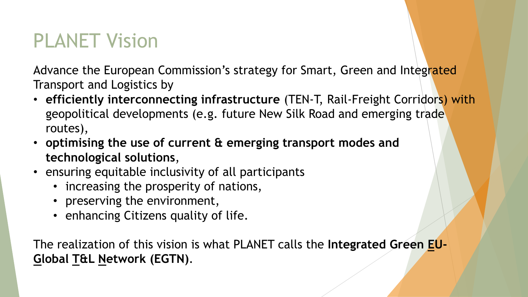## PLANET Vision

Advance the European Commission's strategy for Smart, Green and Integrated Transport and Logistics by

- **efficiently interconnecting infrastructure** (TEN-T, Rail-Freight Corridors) with geopolitical developments (e.g. future New Silk Road and emerging trade routes),
- **optimising the use of current & emerging transport modes and technological solutions**,
- ensuring equitable inclusivity of all participants
	- increasing the prosperity of nations,
	- preserving the environment,
	- enhancing Citizens quality of life.

The realization of this vision is what PLANET calls the **Integrated Green EU-Global T&L Network (EGTN)**.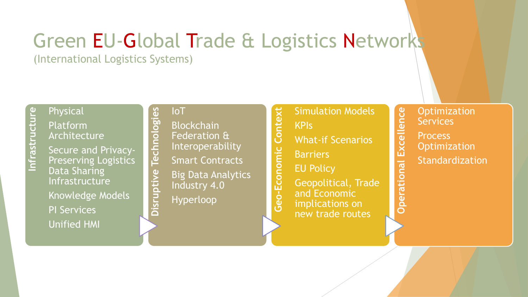# Green EU-Global Trade & Logistics Networks

(International Logistics Systems)

# **Infrastructure** Physical

Platform Architecture

Secure and Privacy-Preserving Logistics Data Sharing Infrastructure

Knowledge Models PI Services Unified HMI

#### IoT

**Disruptive Technologies**

**Disruptive** 

Technologies

Blockchain Federation & Interoperability **Smart Contracts** Big Data Analytics Industry 4.0 Hyperloop

Context Simulation Models **-Economic Context** KPIs What-if Scenarios Geo-Economic **Barriers** EU Policy Geopolitical, Trade and Economic implications on new trade routes

**Optimization** Excellence **Operational Excellence Services** 

**Process** 

**Operational** 

**Optimization** 

Standardization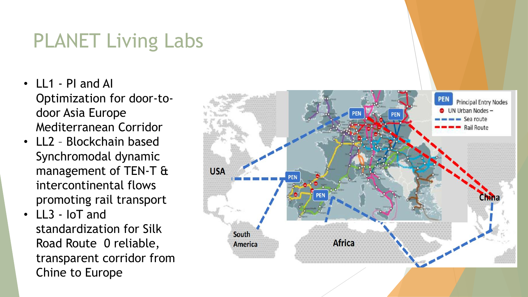# PLANET Living Labs

- LL1 PI and AI Optimization for door-todoor Asia Europe Mediterranean Corridor
- LL2 Blockchain based Synchromodal dynamic management of TEN-T & intercontinental flows promoting rail transport
- LL3 IoT and standardization for Silk Road Route 0 reliable, transparent corridor from Chine to Europe

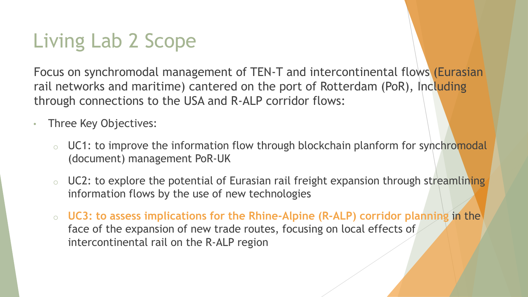# Living Lab 2 Scope

Focus on synchromodal management of TEN-T and intercontinental flows (Eurasian rail networks and maritime) cantered on the port of Rotterdam (PoR), Including through connections to the USA and R-ALP corridor flows:

- Three Key Objectives:
	- **O** UC1: to improve the information flow through blockchain planform for synchromodal (document) management PoR-UK
	- o UC2: to explore the potential of Eurasian rail freight expansion through streamlining information flows by the use of new technologies
	- o **UC3: to assess implications for the Rhine-Alpine (R-ALP) corridor planning** in the face of the expansion of new trade routes, focusing on local effects of intercontinental rail on the R-ALP region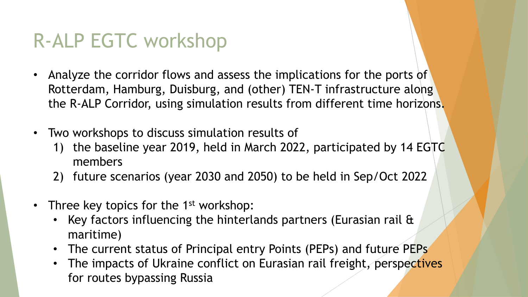# R-ALP EGTC workshop

- Analyze the corridor flows and assess the implications for the ports of Rotterdam, Hamburg, Duisburg, and (other) TEN-T infrastructure along the R-ALP Corridor, using simulation results from different time horizons.
- Two workshops to discuss simulation results of
	- 1) the baseline year 2019, held in March 2022, participated by 14 EGTC members
	- 2) future scenarios (year 2030 and 2050) to be held in Sep/Oct 2022
- Three key topics for the  $1<sup>st</sup>$  workshop:
	- Key factors influencing the hinterlands partners (Eurasian rail & maritime)
	- The current status of Principal entry Points (PEPs) and future PEPs
	- The impacts of Ukraine conflict on Eurasian rail freight, perspectives for routes bypassing Russia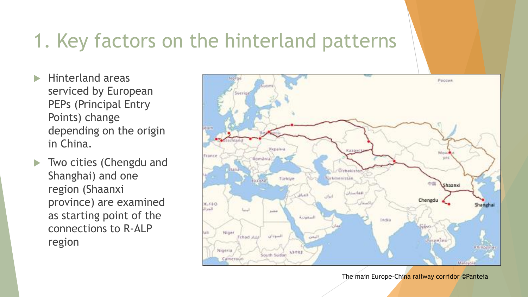## 1. Key factors on the hinterland patterns

- $\blacktriangleright$  Hinterland areas serviced by European PEPs (Principal Entry Points) change depending on the origin in China.
- **Two cities (Chengdu and** Shanghai) and one region (Shaanxi province) are examined as starting point of the connections to R-ALP region



The main Europe-China railway corridor ©Panteia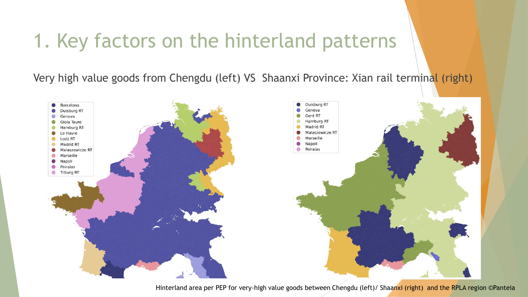### 1. Key factors on the hinterland patterns

Very high value goods from Chengdu (left) VS Shaanxi Province: Xian rail terminal (right)



Hinterland area per PEP for very-high value goods between Chengdu (left)/ Shaanxi (right) and the RPLA region ©Panteia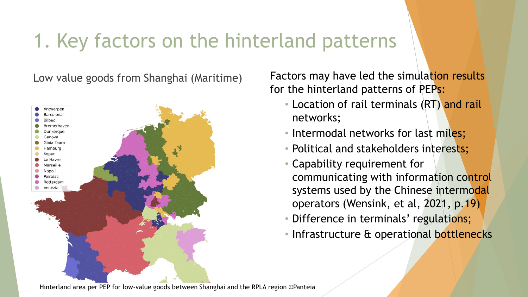## 1. Key factors on the hinterland patterns



Low value goods from Shanghai (Maritime) Factors may have led the simulation results for the hinterland patterns of PEPs:

- Location of rail terminals (RT) and rail networks;
- Intermodal networks for last miles;
- Political and stakeholders interests;
- Capability requirement for communicating with information control systems used by the Chinese intermodal operators (Wensink, et al, 2021, p.19)
- Difference in terminals' regulations;
- Infrastructure & operational bottlenecks

Hinterland area per PEP for low-value goods between Shanghai and the RPLA region ©Panteia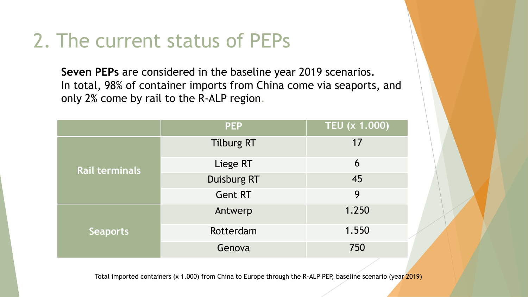## 2. The current status of PEPs

**Seven PEPs** are considered in the baseline year 2019 scenarios. In total, 98% of container imports from China come via seaports, and only 2% come by rail to the R-ALP region.

|                       | <b>PEP</b>         | <b>TEU (x 1.000)</b> |
|-----------------------|--------------------|----------------------|
| <b>Rail terminals</b> | <b>Tilburg RT</b>  | 17                   |
|                       | Liege RT           | 6                    |
|                       | <b>Duisburg RT</b> | 45                   |
|                       | <b>Gent RT</b>     | 9                    |
| <b>Seaports</b>       | Antwerp            | 1.250                |
|                       | Rotterdam          | 1.550                |
|                       | Genova             | 750                  |

Total imported containers (x 1.000) from China to Europe through the R-ALP PEP, baseline scenario (year 2019)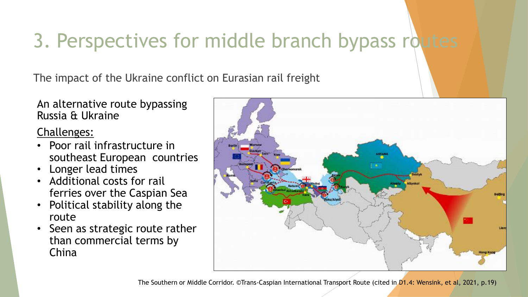# 3. Perspectives for middle branch bypass routes

The impact of the Ukraine conflict on Eurasian rail freight

An alternative route bypassing Russia & Ukraine

#### Challenges:

- Poor rail infrastructure in southeast European countries
- Longer lead times
- Additional costs for rail ferries over the Caspian Sea
- Political stability along the route
- Seen as strategic route rather than commercial terms by China

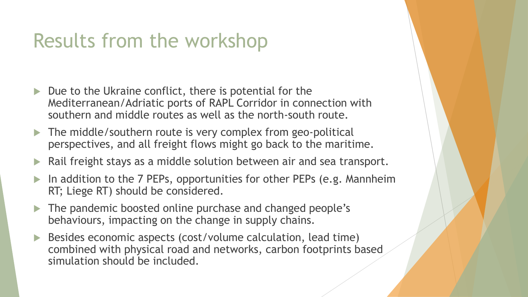### Results from the workshop

- Due to the Ukraine conflict, there is potential for the Mediterranean/Adriatic ports of RAPL Corridor in connection with southern and middle routes as well as the north-south route.
- The middle/southern route is very complex from geo-political perspectives, and all freight flows might go back to the maritime.
- Rail freight stays as a middle solution between air and sea transport.
- In addition to the 7 PEPs, opportunities for other PEPs (e.g. Mannheim RT; Liege RT) should be considered.
- The pandemic boosted online purchase and changed people's behaviours, impacting on the change in supply chains.
- Besides economic aspects (cost/volume calculation, lead time) combined with physical road and networks, carbon footprints based simulation should be included.